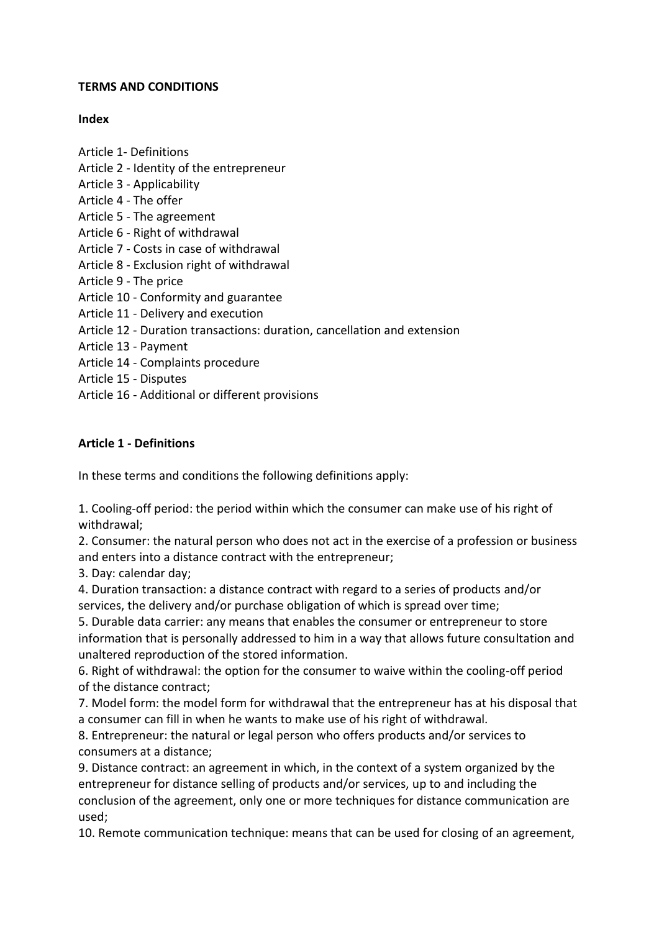#### **TERMS AND CONDITIONS**

### **Index**

Article 1- Definitions

- Article 2 Identity of the entrepreneur
- Article 3 Applicability
- Article 4 The offer
- Article 5 The agreement
- Article 6 Right of withdrawal
- Article 7 Costs in case of withdrawal
- Article 8 Exclusion right of withdrawal
- Article 9 The price
- Article 10 Conformity and guarantee
- Article 11 Delivery and execution
- Article 12 Duration transactions: duration, cancellation and extension
- Article 13 Payment
- Article 14 Complaints procedure
- Article 15 Disputes
- Article 16 Additional or different provisions

### **Article 1 - Definitions**

In these terms and conditions the following definitions apply:

1. Cooling-off period: the period within which the consumer can make use of his right of withdrawal;

2. Consumer: the natural person who does not act in the exercise of a profession or business and enters into a distance contract with the entrepreneur;

3. Day: calendar day;

4. Duration transaction: a distance contract with regard to a series of products and/or services, the delivery and/or purchase obligation of which is spread over time;

5. Durable data carrier: any means that enables the consumer or entrepreneur to store information that is personally addressed to him in a way that allows future consultation and unaltered reproduction of the stored information.

6. Right of withdrawal: the option for the consumer to waive within the cooling-off period of the distance contract;

7. Model form: the model form for withdrawal that the entrepreneur has at his disposal that a consumer can fill in when he wants to make use of his right of withdrawal.

8. Entrepreneur: the natural or legal person who offers products and/or services to consumers at a distance;

9. Distance contract: an agreement in which, in the context of a system organized by the entrepreneur for distance selling of products and/or services, up to and including the conclusion of the agreement, only one or more techniques for distance communication are used;

10. Remote communication technique: means that can be used for closing of an agreement,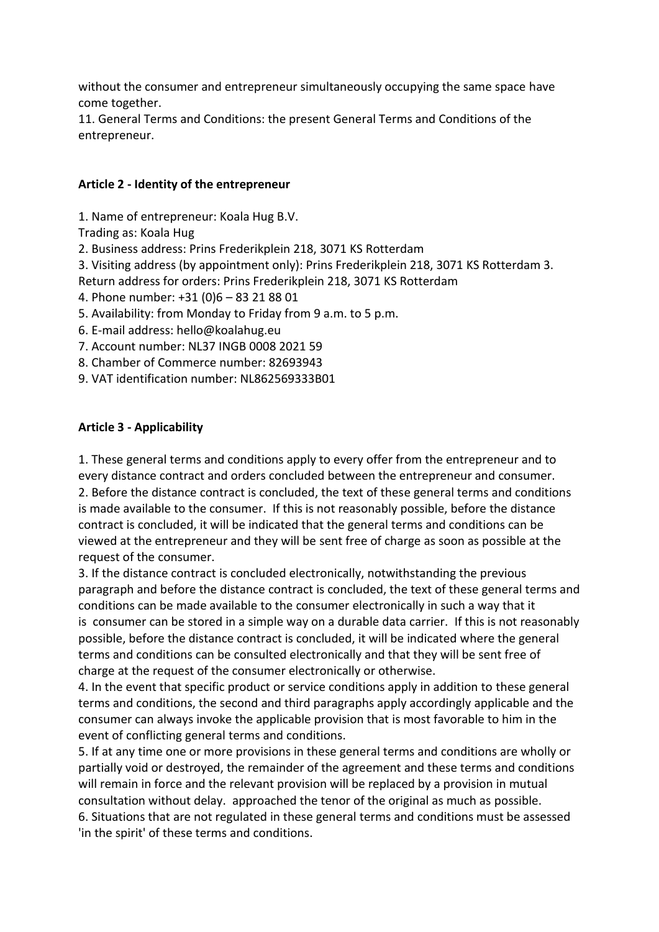without the consumer and entrepreneur simultaneously occupying the same space have come together.

11. General Terms and Conditions: the present General Terms and Conditions of the entrepreneur.

### **Article 2 - Identity of the entrepreneur**

1. Name of entrepreneur: Koala Hug B.V.

Trading as: Koala Hug

2. Business address: Prins Frederikplein 218, 3071 KS Rotterdam

3. Visiting address (by appointment only): Prins Frederikplein 218, 3071 KS Rotterdam 3. Return address for orders: Prins Frederikplein 218, 3071 KS Rotterdam

4. Phone number: +31 (0)6 – 83 21 88 01

5. Availability: from Monday to Friday from 9 a.m. to 5 p.m.

6. E-mail address: hello@koalahug.eu

7. Account number: NL37 INGB 0008 2021 59

8. Chamber of Commerce number: 82693943

9. VAT identification number: NL862569333B01

### **Article 3 - Applicability**

1. These general terms and conditions apply to every offer from the entrepreneur and to every distance contract and orders concluded between the entrepreneur and consumer. 2. Before the distance contract is concluded, the text of these general terms and conditions is made available to the consumer. If this is not reasonably possible, before the distance contract is concluded, it will be indicated that the general terms and conditions can be viewed at the entrepreneur and they will be sent free of charge as soon as possible at the request of the consumer.

3. If the distance contract is concluded electronically, notwithstanding the previous paragraph and before the distance contract is concluded, the text of these general terms and conditions can be made available to the consumer electronically in such a way that it is consumer can be stored in a simple way on a durable data carrier. If this is not reasonably possible, before the distance contract is concluded, it will be indicated where the general terms and conditions can be consulted electronically and that they will be sent free of charge at the request of the consumer electronically or otherwise.

4. In the event that specific product or service conditions apply in addition to these general terms and conditions, the second and third paragraphs apply accordingly applicable and the consumer can always invoke the applicable provision that is most favorable to him in the event of conflicting general terms and conditions.

5. If at any time one or more provisions in these general terms and conditions are wholly or partially void or destroyed, the remainder of the agreement and these terms and conditions will remain in force and the relevant provision will be replaced by a provision in mutual consultation without delay. approached the tenor of the original as much as possible. 6. Situations that are not regulated in these general terms and conditions must be assessed 'in the spirit' of these terms and conditions.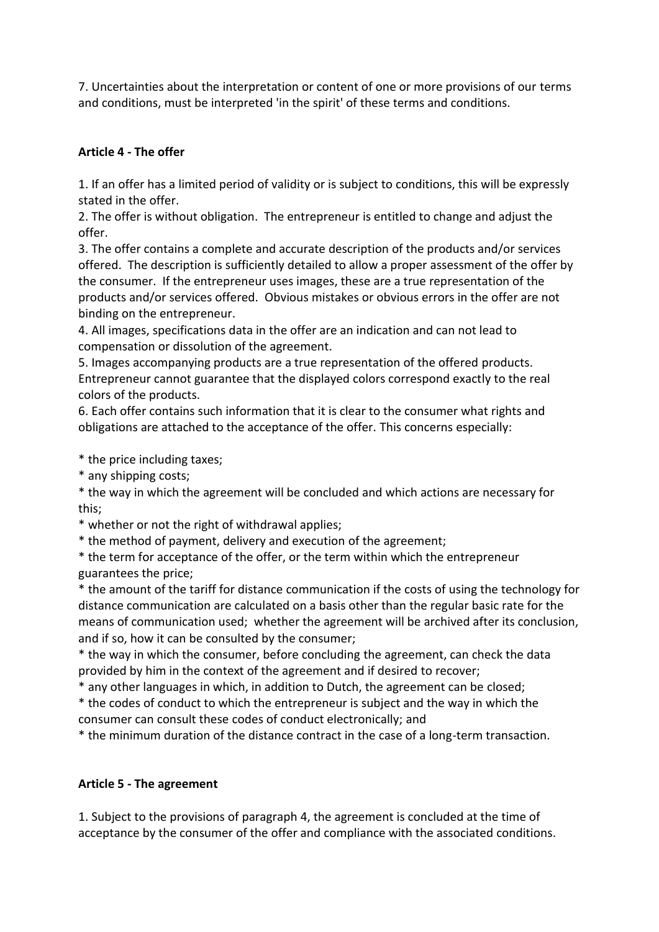7. Uncertainties about the interpretation or content of one or more provisions of our terms and conditions, must be interpreted 'in the spirit' of these terms and conditions.

## **Article 4 - The offer**

1. If an offer has a limited period of validity or is subject to conditions, this will be expressly stated in the offer.

2. The offer is without obligation. The entrepreneur is entitled to change and adjust the offer.

3. The offer contains a complete and accurate description of the products and/or services offered. The description is sufficiently detailed to allow a proper assessment of the offer by the consumer. If the entrepreneur uses images, these are a true representation of the products and/or services offered. Obvious mistakes or obvious errors in the offer are not binding on the entrepreneur.

4. All images, specifications data in the offer are an indication and can not lead to compensation or dissolution of the agreement.

5. Images accompanying products are a true representation of the offered products. Entrepreneur cannot guarantee that the displayed colors correspond exactly to the real colors of the products.

6. Each offer contains such information that it is clear to the consumer what rights and obligations are attached to the acceptance of the offer. This concerns especially:

\* the price including taxes;

\* any shipping costs;

\* the way in which the agreement will be concluded and which actions are necessary for this;

\* whether or not the right of withdrawal applies;

\* the method of payment, delivery and execution of the agreement;

\* the term for acceptance of the offer, or the term within which the entrepreneur guarantees the price;

\* the amount of the tariff for distance communication if the costs of using the technology for distance communication are calculated on a basis other than the regular basic rate for the means of communication used; whether the agreement will be archived after its conclusion, and if so, how it can be consulted by the consumer;

\* the way in which the consumer, before concluding the agreement, can check the data provided by him in the context of the agreement and if desired to recover;

\* any other languages in which, in addition to Dutch, the agreement can be closed;

\* the codes of conduct to which the entrepreneur is subject and the way in which the consumer can consult these codes of conduct electronically; and

\* the minimum duration of the distance contract in the case of a long-term transaction.

# **Article 5 - The agreement**

1. Subject to the provisions of paragraph 4, the agreement is concluded at the time of acceptance by the consumer of the offer and compliance with the associated conditions.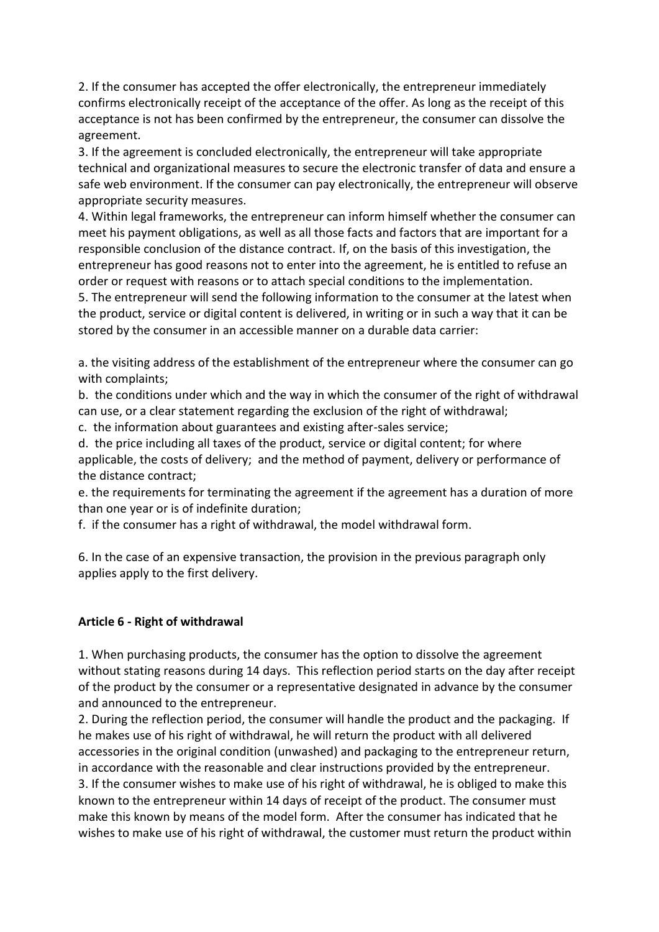2. If the consumer has accepted the offer electronically, the entrepreneur immediately confirms electronically receipt of the acceptance of the offer. As long as the receipt of this acceptance is not has been confirmed by the entrepreneur, the consumer can dissolve the agreement.

3. If the agreement is concluded electronically, the entrepreneur will take appropriate technical and organizational measures to secure the electronic transfer of data and ensure a safe web environment. If the consumer can pay electronically, the entrepreneur will observe appropriate security measures.

4. Within legal frameworks, the entrepreneur can inform himself whether the consumer can meet his payment obligations, as well as all those facts and factors that are important for a responsible conclusion of the distance contract. If, on the basis of this investigation, the entrepreneur has good reasons not to enter into the agreement, he is entitled to refuse an order or request with reasons or to attach special conditions to the implementation.

5. The entrepreneur will send the following information to the consumer at the latest when the product, service or digital content is delivered, in writing or in such a way that it can be stored by the consumer in an accessible manner on a durable data carrier:

a. the visiting address of the establishment of the entrepreneur where the consumer can go with complaints;

b. the conditions under which and the way in which the consumer of the right of withdrawal can use, or a clear statement regarding the exclusion of the right of withdrawal;

c. the information about guarantees and existing after-sales service;

d. the price including all taxes of the product, service or digital content; for where applicable, the costs of delivery; and the method of payment, delivery or performance of the distance contract;

e. the requirements for terminating the agreement if the agreement has a duration of more than one year or is of indefinite duration;

f. if the consumer has a right of withdrawal, the model withdrawal form.

6. In the case of an expensive transaction, the provision in the previous paragraph only applies apply to the first delivery.

## **Article 6 - Right of withdrawal**

1. When purchasing products, the consumer has the option to dissolve the agreement without stating reasons during 14 days. This reflection period starts on the day after receipt of the product by the consumer or a representative designated in advance by the consumer and announced to the entrepreneur.

2. During the reflection period, the consumer will handle the product and the packaging. If he makes use of his right of withdrawal, he will return the product with all delivered accessories in the original condition (unwashed) and packaging to the entrepreneur return, in accordance with the reasonable and clear instructions provided by the entrepreneur. 3. If the consumer wishes to make use of his right of withdrawal, he is obliged to make this known to the entrepreneur within 14 days of receipt of the product. The consumer must make this known by means of the model form. After the consumer has indicated that he wishes to make use of his right of withdrawal, the customer must return the product within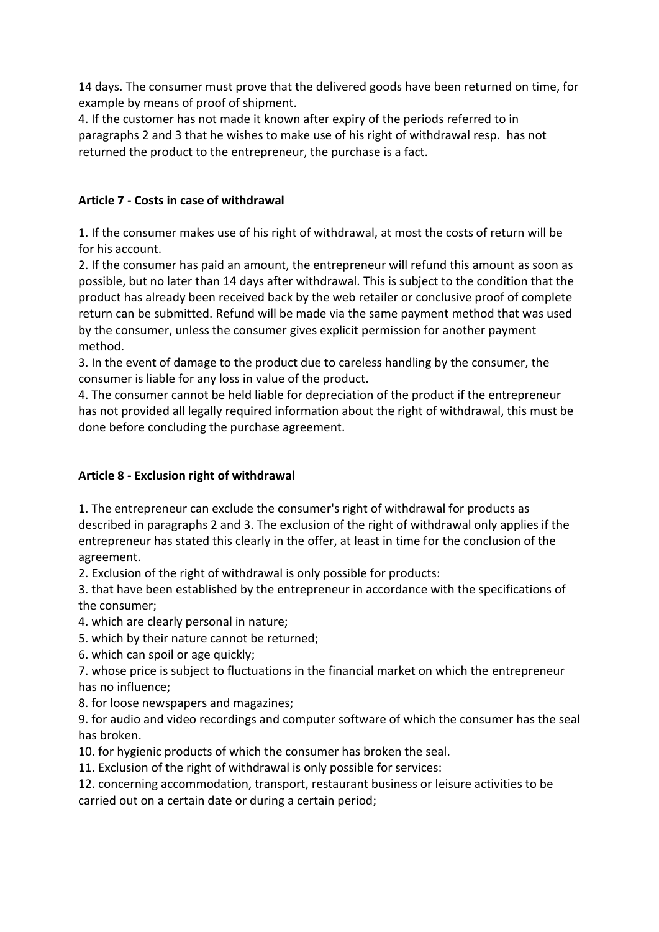14 days. The consumer must prove that the delivered goods have been returned on time, for example by means of proof of shipment.

4. If the customer has not made it known after expiry of the periods referred to in paragraphs 2 and 3 that he wishes to make use of his right of withdrawal resp. has not returned the product to the entrepreneur, the purchase is a fact.

## **Article 7 - Costs in case of withdrawal**

1. If the consumer makes use of his right of withdrawal, at most the costs of return will be for his account.

2. If the consumer has paid an amount, the entrepreneur will refund this amount as soon as possible, but no later than 14 days after withdrawal. This is subject to the condition that the product has already been received back by the web retailer or conclusive proof of complete return can be submitted. Refund will be made via the same payment method that was used by the consumer, unless the consumer gives explicit permission for another payment method.

3. In the event of damage to the product due to careless handling by the consumer, the consumer is liable for any loss in value of the product.

4. The consumer cannot be held liable for depreciation of the product if the entrepreneur has not provided all legally required information about the right of withdrawal, this must be done before concluding the purchase agreement.

# **Article 8 - Exclusion right of withdrawal**

1. The entrepreneur can exclude the consumer's right of withdrawal for products as described in paragraphs 2 and 3. The exclusion of the right of withdrawal only applies if the entrepreneur has stated this clearly in the offer, at least in time for the conclusion of the agreement.

2. Exclusion of the right of withdrawal is only possible for products:

3. that have been established by the entrepreneur in accordance with the specifications of the consumer;

4. which are clearly personal in nature;

- 5. which by their nature cannot be returned;
- 6. which can spoil or age quickly;

7. whose price is subject to fluctuations in the financial market on which the entrepreneur has no influence;

8. for loose newspapers and magazines;

9. for audio and video recordings and computer software of which the consumer has the seal has broken.

- 10. for hygienic products of which the consumer has broken the seal.
- 11. Exclusion of the right of withdrawal is only possible for services:

12. concerning accommodation, transport, restaurant business or leisure activities to be carried out on a certain date or during a certain period;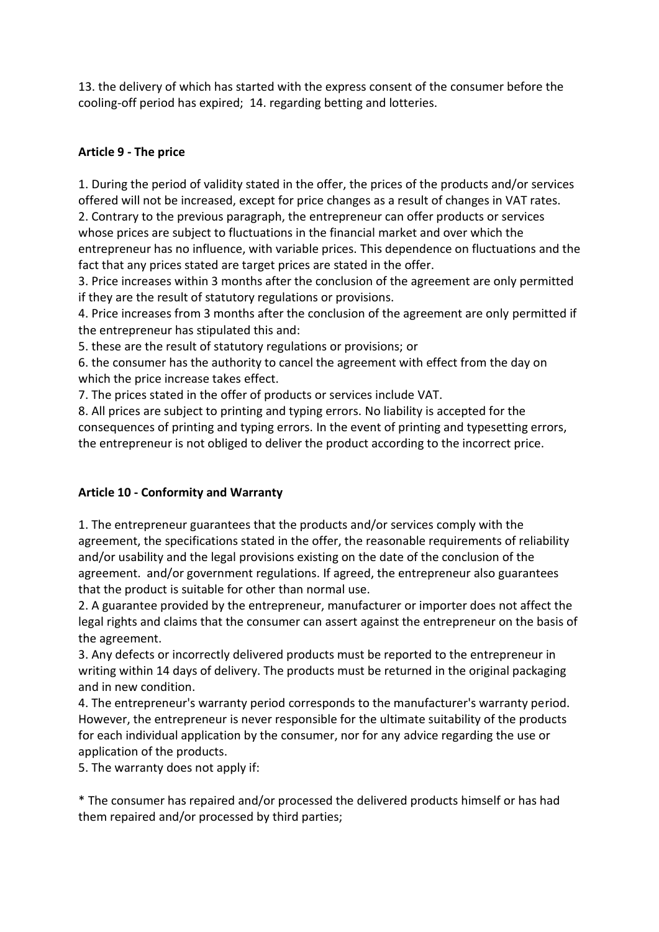13. the delivery of which has started with the express consent of the consumer before the cooling-off period has expired; 14. regarding betting and lotteries.

## **Article 9 - The price**

1. During the period of validity stated in the offer, the prices of the products and/or services offered will not be increased, except for price changes as a result of changes in VAT rates. 2. Contrary to the previous paragraph, the entrepreneur can offer products or services whose prices are subject to fluctuations in the financial market and over which the entrepreneur has no influence, with variable prices. This dependence on fluctuations and the fact that any prices stated are target prices are stated in the offer.

3. Price increases within 3 months after the conclusion of the agreement are only permitted if they are the result of statutory regulations or provisions.

4. Price increases from 3 months after the conclusion of the agreement are only permitted if the entrepreneur has stipulated this and:

5. these are the result of statutory regulations or provisions; or

6. the consumer has the authority to cancel the agreement with effect from the day on which the price increase takes effect.

7. The prices stated in the offer of products or services include VAT.

8. All prices are subject to printing and typing errors. No liability is accepted for the consequences of printing and typing errors. In the event of printing and typesetting errors, the entrepreneur is not obliged to deliver the product according to the incorrect price.

# **Article 10 - Conformity and Warranty**

1. The entrepreneur guarantees that the products and/or services comply with the agreement, the specifications stated in the offer, the reasonable requirements of reliability and/or usability and the legal provisions existing on the date of the conclusion of the agreement. and/or government regulations. If agreed, the entrepreneur also guarantees that the product is suitable for other than normal use.

2. A guarantee provided by the entrepreneur, manufacturer or importer does not affect the legal rights and claims that the consumer can assert against the entrepreneur on the basis of the agreement.

3. Any defects or incorrectly delivered products must be reported to the entrepreneur in writing within 14 days of delivery. The products must be returned in the original packaging and in new condition.

4. The entrepreneur's warranty period corresponds to the manufacturer's warranty period. However, the entrepreneur is never responsible for the ultimate suitability of the products for each individual application by the consumer, nor for any advice regarding the use or application of the products.

5. The warranty does not apply if:

\* The consumer has repaired and/or processed the delivered products himself or has had them repaired and/or processed by third parties;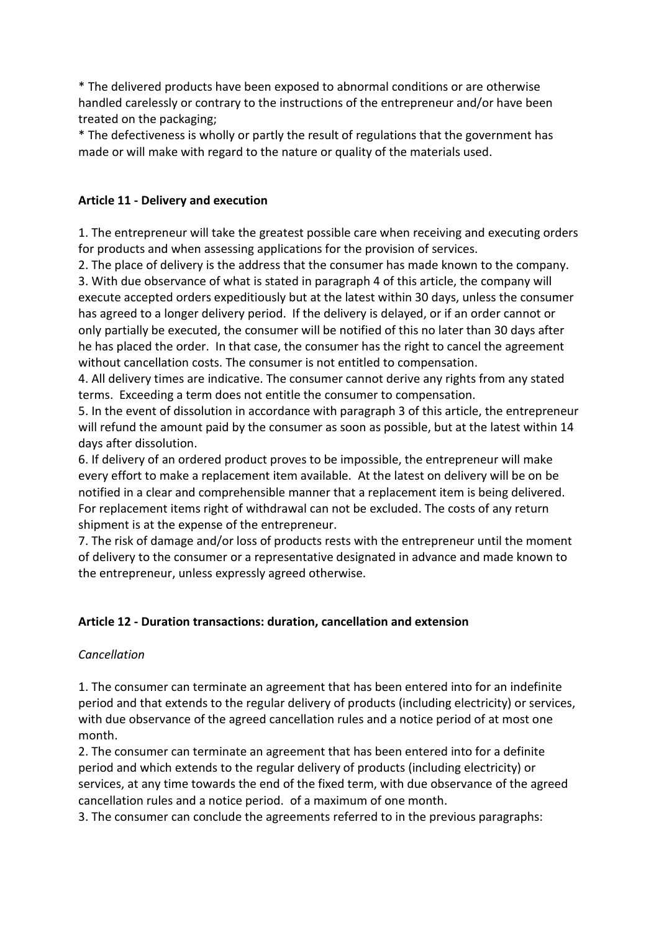\* The delivered products have been exposed to abnormal conditions or are otherwise handled carelessly or contrary to the instructions of the entrepreneur and/or have been treated on the packaging;

\* The defectiveness is wholly or partly the result of regulations that the government has made or will make with regard to the nature or quality of the materials used.

## **Article 11 - Delivery and execution**

1. The entrepreneur will take the greatest possible care when receiving and executing orders for products and when assessing applications for the provision of services.

2. The place of delivery is the address that the consumer has made known to the company. 3. With due observance of what is stated in paragraph 4 of this article, the company will execute accepted orders expeditiously but at the latest within 30 days, unless the consumer has agreed to a longer delivery period. If the delivery is delayed, or if an order cannot or only partially be executed, the consumer will be notified of this no later than 30 days after he has placed the order. In that case, the consumer has the right to cancel the agreement without cancellation costs. The consumer is not entitled to compensation.

4. All delivery times are indicative. The consumer cannot derive any rights from any stated terms. Exceeding a term does not entitle the consumer to compensation.

5. In the event of dissolution in accordance with paragraph 3 of this article, the entrepreneur will refund the amount paid by the consumer as soon as possible, but at the latest within 14 days after dissolution.

6. If delivery of an ordered product proves to be impossible, the entrepreneur will make every effort to make a replacement item available. At the latest on delivery will be on be notified in a clear and comprehensible manner that a replacement item is being delivered. For replacement items right of withdrawal can not be excluded. The costs of any return shipment is at the expense of the entrepreneur.

7. The risk of damage and/or loss of products rests with the entrepreneur until the moment of delivery to the consumer or a representative designated in advance and made known to the entrepreneur, unless expressly agreed otherwise.

## **Article 12 - Duration transactions: duration, cancellation and extension**

#### *Cancellation*

1. The consumer can terminate an agreement that has been entered into for an indefinite period and that extends to the regular delivery of products (including electricity) or services, with due observance of the agreed cancellation rules and a notice period of at most one month.

2. The consumer can terminate an agreement that has been entered into for a definite period and which extends to the regular delivery of products (including electricity) or services, at any time towards the end of the fixed term, with due observance of the agreed cancellation rules and a notice period. of a maximum of one month.

3. The consumer can conclude the agreements referred to in the previous paragraphs: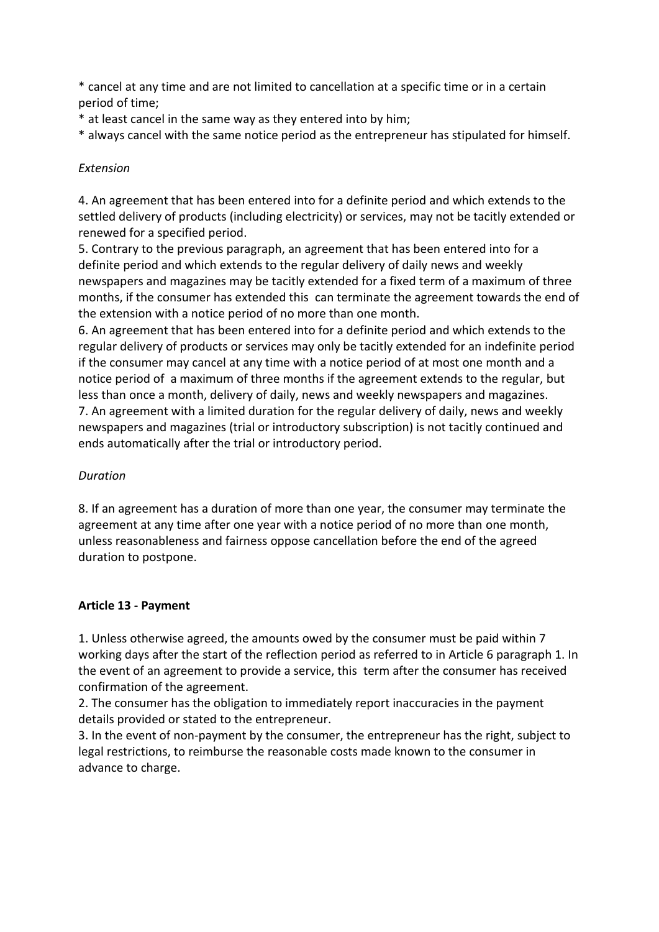\* cancel at any time and are not limited to cancellation at a specific time or in a certain period of time;

- \* at least cancel in the same way as they entered into by him;
- \* always cancel with the same notice period as the entrepreneur has stipulated for himself.

## *Extension*

4. An agreement that has been entered into for a definite period and which extends to the settled delivery of products (including electricity) or services, may not be tacitly extended or renewed for a specified period.

5. Contrary to the previous paragraph, an agreement that has been entered into for a definite period and which extends to the regular delivery of daily news and weekly newspapers and magazines may be tacitly extended for a fixed term of a maximum of three months, if the consumer has extended this can terminate the agreement towards the end of the extension with a notice period of no more than one month.

6. An agreement that has been entered into for a definite period and which extends to the regular delivery of products or services may only be tacitly extended for an indefinite period if the consumer may cancel at any time with a notice period of at most one month and a notice period of a maximum of three months if the agreement extends to the regular, but less than once a month, delivery of daily, news and weekly newspapers and magazines. 7. An agreement with a limited duration for the regular delivery of daily, news and weekly newspapers and magazines (trial or introductory subscription) is not tacitly continued and ends automatically after the trial or introductory period.

# *Duration*

8. If an agreement has a duration of more than one year, the consumer may terminate the agreement at any time after one year with a notice period of no more than one month, unless reasonableness and fairness oppose cancellation before the end of the agreed duration to postpone.

## **Article 13 - Payment**

1. Unless otherwise agreed, the amounts owed by the consumer must be paid within 7 working days after the start of the reflection period as referred to in Article 6 paragraph 1. In the event of an agreement to provide a service, this term after the consumer has received confirmation of the agreement.

2. The consumer has the obligation to immediately report inaccuracies in the payment details provided or stated to the entrepreneur.

3. In the event of non-payment by the consumer, the entrepreneur has the right, subject to legal restrictions, to reimburse the reasonable costs made known to the consumer in advance to charge.